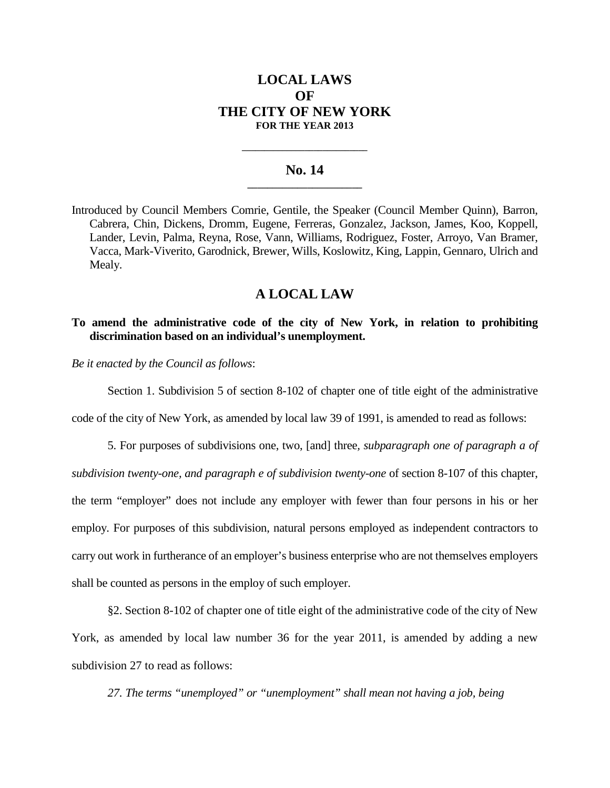# **LOCAL LAWS OF THE CITY OF NEW YORK FOR THE YEAR 2013**

### **No. 14 \_\_\_\_\_\_\_\_\_\_\_\_\_\_\_\_\_\_\_\_\_\_\_**

**\_\_\_\_\_\_\_\_\_\_\_\_\_\_\_\_\_\_\_\_\_\_\_\_\_\_\_\_**

Introduced by Council Members Comrie, Gentile, the Speaker (Council Member Quinn), Barron, Cabrera, Chin, Dickens, Dromm, Eugene, Ferreras, Gonzalez, Jackson, James, Koo, Koppell, Lander, Levin, Palma, Reyna, Rose, Vann, Williams, Rodriguez, Foster, Arroyo, Van Bramer, Vacca, Mark-Viverito, Garodnick, Brewer, Wills, Koslowitz, King, Lappin, Gennaro, Ulrich and Mealy.

## **A LOCAL LAW**

## **To amend the administrative code of the city of New York, in relation to prohibiting discrimination based on an individual's unemployment.**

*Be it enacted by the Council as follows*:

Section 1. Subdivision 5 of section 8-102 of chapter one of title eight of the administrative

code of the city of New York, as amended by local law 39 of 1991, is amended to read as follows:

5. For purposes of subdivisions one, two, [and] three*, subparagraph one of paragraph a of subdivision twenty-one, and paragraph e of subdivision twenty-one* of section 8-107 of this chapter, the term "employer" does not include any employer with fewer than four persons in his or her employ. For purposes of this subdivision, natural persons employed as independent contractors to carry out work in furtherance of an employer's business enterprise who are not themselves employers shall be counted as persons in the employ of such employer.

§2. Section 8-102 of chapter one of title eight of the administrative code of the city of New York, as amended by local law number 36 for the year 2011, is amended by adding a new subdivision 27 to read as follows:

*27. The terms "unemployed" or "unemployment" shall mean not having a job, being*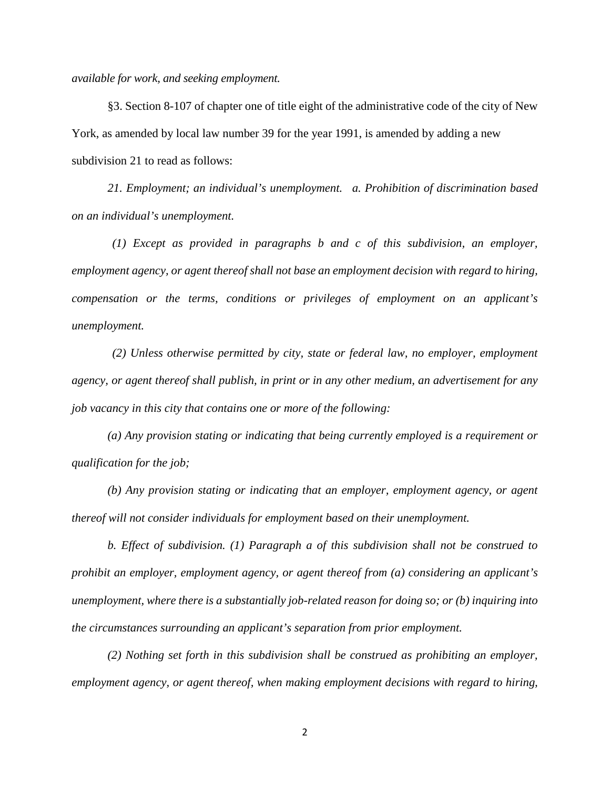*available for work, and seeking employment.*

§3. Section 8-107 of chapter one of title eight of the administrative code of the city of New York, as amended by local law number 39 for the year 1991, is amended by adding a new subdivision 21 to read as follows:

*21. Employment; an individual's unemployment. a. Prohibition of discrimination based on an individual's unemployment.*

*(1) Except as provided in paragraphs b and c of this subdivision, an employer, employment agency, or agent thereof shall not base an employment decision with regard to hiring, compensation or the terms, conditions or privileges of employment on an applicant's unemployment.*

*(2) Unless otherwise permitted by city, state or federal law, no employer, employment agency, or agent thereof shall publish, in print or in any other medium, an advertisement for any job vacancy in this city that contains one or more of the following:*

*(a) Any provision stating or indicating that being currently employed is a requirement or qualification for the job;*

*(b) Any provision stating or indicating that an employer, employment agency, or agent thereof will not consider individuals for employment based on their unemployment.*

*b. Effect of subdivision. (1) Paragraph a of this subdivision shall not be construed to prohibit an employer, employment agency, or agent thereof from (a) considering an applicant's unemployment, where there is a substantially job-related reason for doing so; or (b) inquiring into the circumstances surrounding an applicant's separation from prior employment.*

*(2) Nothing set forth in this subdivision shall be construed as prohibiting an employer, employment agency, or agent thereof, when making employment decisions with regard to hiring,*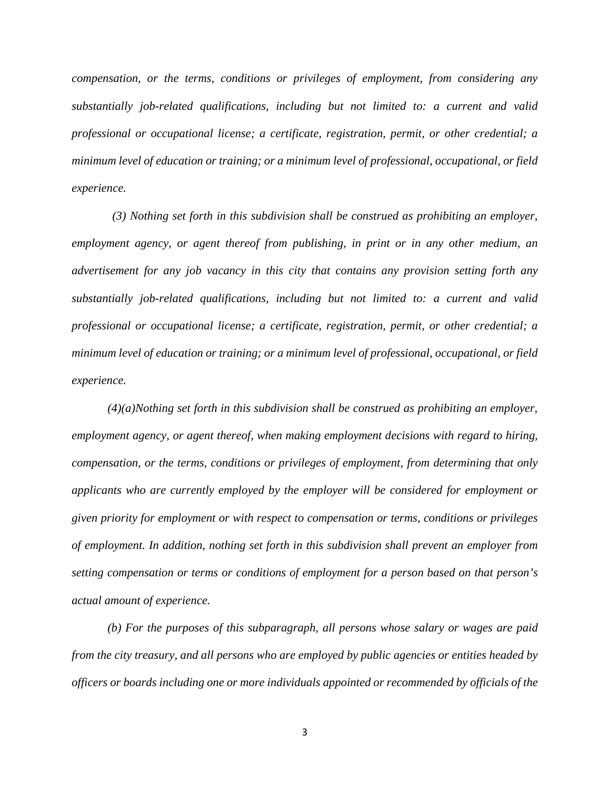*compensation, or the terms, conditions or privileges of employment, from considering any substantially job-related qualifications, including but not limited to: a current and valid professional or occupational license; a certificate, registration, permit, or other credential; a minimum level of education or training; or a minimum level of professional, occupational, or field experience.*

*(3) Nothing set forth in this subdivision shall be construed as prohibiting an employer, employment agency, or agent thereof from publishing, in print or in any other medium, an advertisement for any job vacancy in this city that contains any provision setting forth any substantially job-related qualifications, including but not limited to: a current and valid professional or occupational license; a certificate, registration, permit, or other credential; a minimum level of education or training; or a minimum level of professional, occupational, or field experience.*

*(4)(a)Nothing set forth in this subdivision shall be construed as prohibiting an employer, employment agency, or agent thereof, when making employment decisions with regard to hiring, compensation, or the terms, conditions or privileges of employment, from determining that only applicants who are currently employed by the employer will be considered for employment or given priority for employment or with respect to compensation or terms, conditions or privileges of employment. In addition, nothing set forth in this subdivision shall prevent an employer from setting compensation or terms or conditions of employment for a person based on that person's actual amount of experience.*

*(b) For the purposes of this subparagraph, all persons whose salary or wages are paid from the city treasury, and all persons who are employed by public agencies or entities headed by officers or boards including one or more individuals appointed or recommended by officials of the*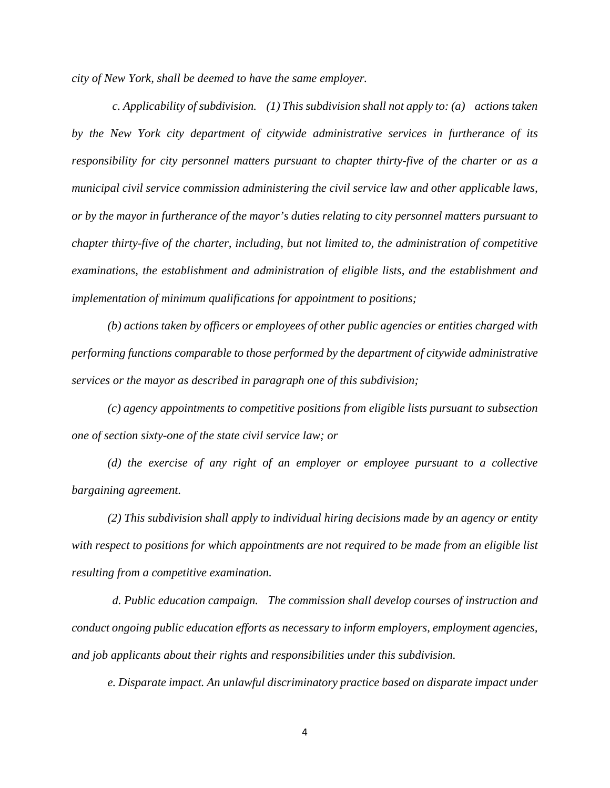*city of New York, shall be deemed to have the same employer.*

*c. Applicability of subdivision. (1) This subdivision shall not apply to: (a) actions taken by the New York city department of citywide administrative services in furtherance of its responsibility for city personnel matters pursuant to chapter thirty-five of the charter or as a municipal civil service commission administering the civil service law and other applicable laws, or by the mayor in furtherance of the mayor's duties relating to city personnel matters pursuant to chapter thirty-five of the charter, including, but not limited to, the administration of competitive examinations, the establishment and administration of eligible lists, and the establishment and implementation of minimum qualifications for appointment to positions;*

*(b) actions taken by officers or employees of other public agencies or entities charged with performing functions comparable to those performed by the department of citywide administrative services or the mayor as described in paragraph one of this subdivision;*

*(c) agency appointments to competitive positions from eligible lists pursuant to subsection one of section sixty-one of the state civil service law; or*

*(d) the exercise of any right of an employer or employee pursuant to a collective bargaining agreement.*

*(2) This subdivision shall apply to individual hiring decisions made by an agency or entity with respect to positions for which appointments are not required to be made from an eligible list resulting from a competitive examination.*

*d. Public education campaign. The commission shall develop courses of instruction and conduct ongoing public education efforts as necessary to inform employers, employment agencies, and job applicants about their rights and responsibilities under this subdivision.*

*e. Disparate impact. An unlawful discriminatory practice based on disparate impact under*

4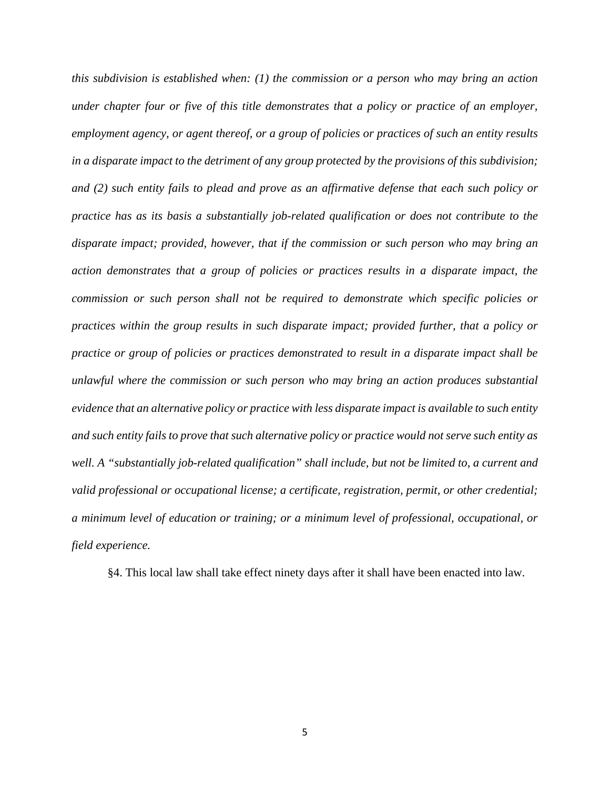*this subdivision is established when: (1) the commission or a person who may bring an action under chapter four or five of this title demonstrates that a policy or practice of an employer, employment agency, or agent thereof, or a group of policies or practices of such an entity results in a disparate impact to the detriment of any group protected by the provisions of this subdivision; and (2) such entity fails to plead and prove as an affirmative defense that each such policy or practice has as its basis a substantially job-related qualification or does not contribute to the disparate impact; provided, however, that if the commission or such person who may bring an action demonstrates that a group of policies or practices results in a disparate impact, the commission or such person shall not be required to demonstrate which specific policies or practices within the group results in such disparate impact; provided further, that a policy or practice or group of policies or practices demonstrated to result in a disparate impact shall be unlawful where the commission or such person who may bring an action produces substantial evidence that an alternative policy or practice with less disparate impact is available to such entity and such entity fails to prove that such alternative policy or practice would not serve such entity as well. A "substantially job-related qualification" shall include, but not be limited to, a current and valid professional or occupational license; a certificate, registration, permit, or other credential; a minimum level of education or training; or a minimum level of professional, occupational, or field experience.*

§4. This local law shall take effect ninety days after it shall have been enacted into law.